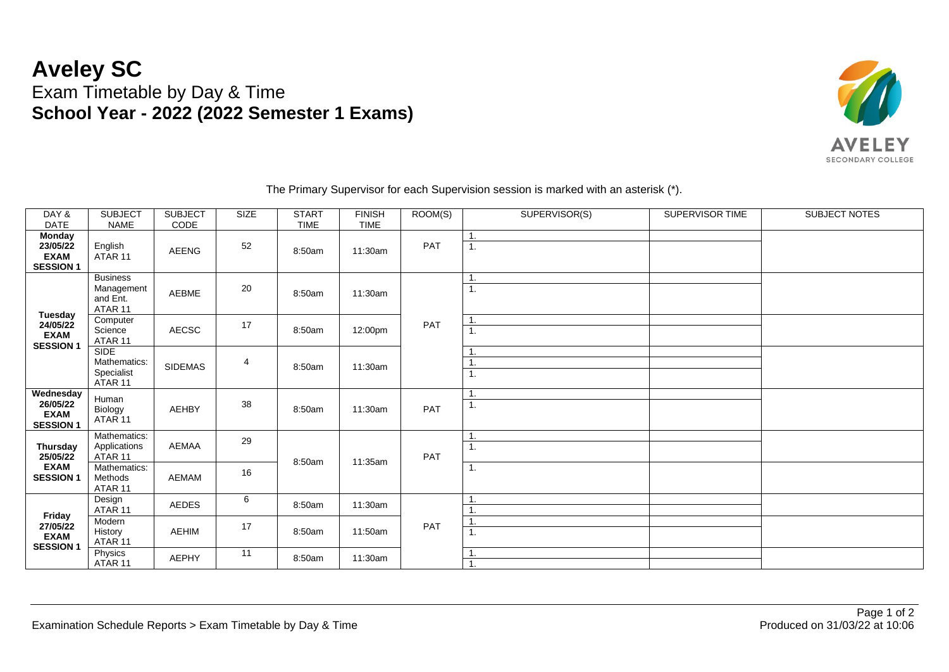## **Aveley SC** Exam Timetable by Day & Time **School Year - 2022 (2022 Semester 1 Exams)**



| DAY &<br><b>DATE</b>                                           | <b>SUBJECT</b><br><b>NAME</b>                        | <b>SUBJECT</b><br>CODE | SIZE | <b>START</b><br><b>TIME</b> | <b>FINISH</b><br><b>TIME</b> | ROOM(S) | SUPERVISOR(S) | SUPERVISOR TIME | SUBJECT NOTES |
|----------------------------------------------------------------|------------------------------------------------------|------------------------|------|-----------------------------|------------------------------|---------|---------------|-----------------|---------------|
| <b>Monday</b><br>23/05/22<br><b>EXAM</b><br><b>SESSION 1</b>   | English<br>ATAR 11                                   | <b>AEENG</b>           | 52   | 8:50am                      | 11:30am                      | PAT     | 1.<br>1.      |                 |               |
| Tuesday<br>24/05/22<br><b>EXAM</b><br><b>SESSION 1</b>         | <b>Business</b><br>Management<br>and Ent.<br>ATAR 11 | <b>AEBME</b>           | 20   | 8:50am                      | 11:30am                      | PAT     | 1.            |                 |               |
|                                                                | Computer<br>Science<br>ATAR 11                       | <b>AECSC</b>           | 17   | 8:50am                      | 12:00pm                      |         | 1.<br>1.      |                 |               |
|                                                                | <b>SIDE</b><br>Mathematics:<br>Specialist<br>ATAR 11 | SIDEMAS                | 4    | 8:50am                      | 11:30am                      |         | ш,<br>1.      |                 |               |
| Wednesday<br>26/05/22<br><b>EXAM</b><br><b>SESSION 1</b>       | Human<br>Biology<br>ATAR 11                          | <b>AEHBY</b>           | 38   | 8:50am                      | 11:30am                      | PAT     | 1.<br>1.      |                 |               |
| <b>Thursday</b><br>25/05/22<br><b>EXAM</b><br><b>SESSION 1</b> | Mathematics:<br>Applications<br>ATAR <sub>11</sub>   | <b>AEMAA</b>           | 29   | 8:50am                      | 11:35am                      | PAT     | т.<br>1.      |                 |               |
|                                                                | Mathematics:<br>Methods<br>ATAR <sub>11</sub>        | <b>AEMAM</b>           | 16   |                             |                              |         | 1.            |                 |               |
| Friday<br>27/05/22<br><b>EXAM</b><br><b>SESSION 1</b>          | Design<br>ATAR 11                                    | <b>AEDES</b>           | 6    | 8:50am                      | 11:30am                      | PAT     |               |                 |               |
|                                                                | Modern<br>History<br>ATAR 11                         | <b>AEHIM</b>           | 17   | 8:50am                      | 11:50am                      |         | 1.            |                 |               |
|                                                                | Physics<br>ATAR 11                                   | <b>AEPHY</b>           | 11   | 8:50am                      | 11:30am                      |         | 1.            |                 |               |

The Primary Supervisor for each Supervision session is marked with an asterisk (\*).